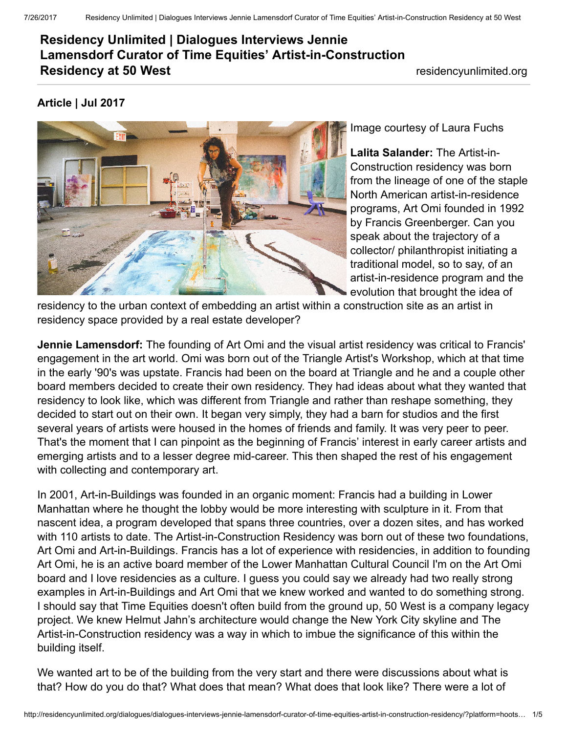## Residency Unlimited | Dialogues Interviews Jennie Lamensdorf Curator of Time Equities' Artist-in-Construction Residency at 50 West residencyunlimited.org

## Article | Jul 2017



Image courtesy of Laura Fuchs

Lalita Salander: The Artist-in-Construction residency was born from the lineage of one of the staple North American artist-in-residence programs, Art [Omi](http://www.artomi.org/) founded in 1992 by Francis Greenberger. Can you speak about the trajectory of a collector/ philanthropist initiating a traditional model, so to say, of an artist-in-residence program and the evolution that brought the idea of

residency to the urban context of embedding an artist within a construction site as an artist in residency space provided by a real estate developer?

**Jennie Lamensdorf:** The founding of Art Omi and the visual artist residency was critical to Francis' engagement in the art world. Omi was born out of the Triangle Artist's [Workshop,](http://www.triangle-arts-association.org/) which at that time in the early '90's was upstate. Francis had been on the board at Triangle and he and a couple other board members decided to create their own residency. They had ideas about what they wanted that residency to look like, which was different from Triangle and rather than reshape something, they decided to start out on their own. It began very simply, they had a barn for studios and the first several years of artists were housed in the homes of friends and family. It was very peer to peer. That's the moment that I can pinpoint as the beginning of Francis' interest in early career artists and emerging artists and to a lesser degree mid-career. This then shaped the rest of his engagement with collecting and contemporary art.

In 2001, [Art-in-Buildings](http://www.teiartinbuildings.com/) was founded in an organic moment: Francis had a building in Lower Manhattan where he thought the lobby would be more interesting with sculpture in it. From that nascent idea, a program developed that spans three countries, over a dozen sites, and has worked with 110 artists to date. The Artist-in-Construction Residency was born out of these two foundations, Art Omi and Art-in-Buildings. Francis has a lot of experience with residencies, in addition to founding Art Omi, he is an active board member of the Lower Manhattan Cultural Council I'm on the Art Omi board and I love residencies as a culture. I guess you could say we already had two really strong examples in Art-in-Buildings and Art Omi that we knew worked and wanted to do something strong. I should say that Time Equities doesn't often build from the ground up, 50 [West](http://www.50westnyc.com/) is a company legacy project. We knew Helmut Jahn's architecture would change the New York City skyline and The Artist-in-Construction residency was a way in which to imbue the significance of this within the building itself.

We wanted art to be of the building from the very start and there were discussions about what is that? How do you do that? What does that mean? What does that look like? There were a lot of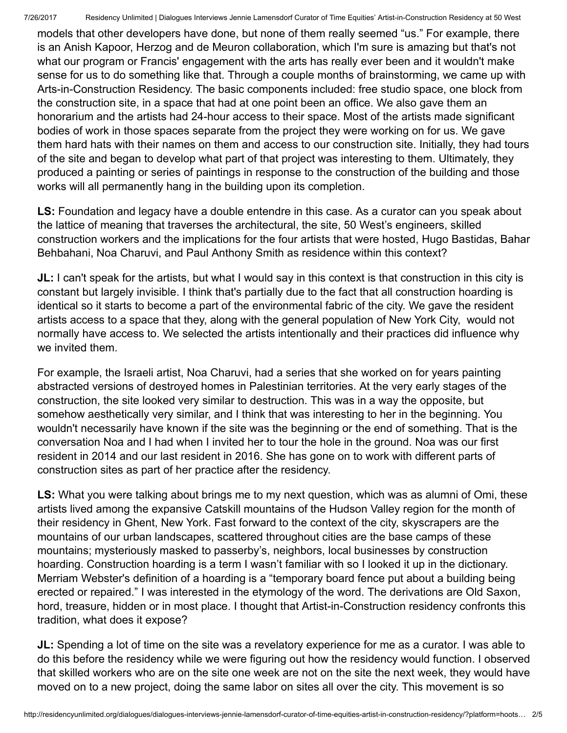models that other developers have done, but none of them really seemed "us." For example, there is an Anish Kapoor, Herzog and de Meuron [collaboration](http://56leonardtribeca.com/global-landmark/), which I'm sure is amazing but that's not what our program or Francis' engagement with the arts has really ever been and it wouldn't make sense for us to do something like that. Through a couple months of brainstorming, we came up with Arts-in-Construction Residency. The basic components included: free studio space, one block from the construction site, in a space that had at one point been an office. We also gave them an honorarium and the artists had 24-hour access to their space. Most of the artists made significant bodies of work in those spaces separate from the project they were working on for us. We gave them hard hats with their names on them and access to our construction site. Initially, they had tours of the site and began to develop what part of that project was interesting to them. Ultimately, they produced a painting or series of paintings in response to the construction of the building and those works will all permanently hang in the building upon its completion.

LS: Foundation and legacy have a double entendre in this case. As a curator can you speak about the lattice of meaning that traverses the architectural, the site, 50 West's engineers, skilled [construction](http://baharbehbahani.com/) workers and the implications for the four artists that were hosted, Hugo [Bastidas,](https://www.nohrahaimegallery.com/hugo-bastidas.html) Bahar Behbahani, Noa [Charuvi](http://noacharuvi.com/), and Paul [Anthony](https://thepaulsmithart.com/) Smith as residence within this context?

JL: I can't speak for the artists, but what I would say in this context is that construction in this city is constant but largely invisible. I think that's partially due to the fact that all construction hoarding is identical so it starts to become a part of the environmental fabric of the city. We gave the resident artists access to a space that they, along with the general population of New York City, would not normally have access to. We selected the artists intentionally and their practices did influence why we invited them.

For example, the Israeli artist, Noa Charuvi, had a series that she worked on for years painting abstracted versions of destroyed homes in Palestinian territories. At the very early stages of the construction, the site looked very similar to destruction. This was in a way the opposite, but somehow aesthetically very similar, and I think that was interesting to her in the beginning. You wouldn't necessarily have known if the site was the beginning or the end of something. That is the conversation Noa and I had when I invited her to tour the hole in the ground. Noa was our first resident in 2014 and our last resident in 2016. She has gone on to work with different parts of construction sites as part of her practice after the residency.

LS: What you were talking about brings me to my next question, which was as alumni of Omi, these artists lived among the expansive Catskill mountains of the Hudson Valley region for the month of their residency in Ghent, New York. Fast forward to the context of the city, skyscrapers are the mountains of our urban landscapes, scattered throughout cities are the base camps of these mountains; mysteriously masked to passerby's, neighbors, local businesses by construction hoarding. Construction hoarding is a term I wasn't familiar with so I looked it up in the dictionary. Merriam Webster's definition of a hoarding is a "temporary board fence put about a building being erected or repaired." I was interested in the etymology of the word. The derivations are Old Saxon, hord, treasure, hidden or in most place. I thought that Artist-in-Construction residency confronts this tradition, what does it expose?

**JL:** Spending a lot of time on the site was a revelatory experience for me as a curator. I was able to do this before the residency while we were figuring out how the residency would function. I observed that skilled workers who are on the site one week are not on the site the next week, they would have moved on to a new project, doing the same labor on sites all over the city. This movement is so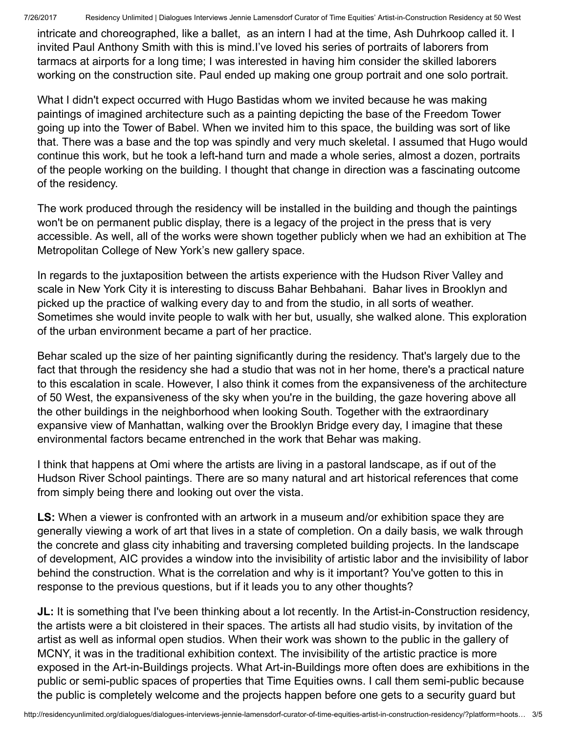7/26/2017 Residency Unlimited | Dialogues Interviews Jennie Lamensdorf Curator of Time Equities' Artist-in-Construction Residency at 50 West

intricate and choreographed, like a ballet, as an intern I had at the time, Ash Duhrkoop called it. I invited Paul Anthony Smith with this is mind.I've loved his series of portraits of laborers from tarmacs at airports for a long time; I was interested in having him consider the skilled laborers working on the construction site. Paul ended up making one group portrait and one solo portrait.

What I didn't expect occurred with Hugo Bastidas whom we invited because he was making paintings of imagined architecture such as a painting depicting the base of the Freedom Tower going up into the Tower of Babel. When we invited him to this space, the building was sort of like that. There was a base and the top was spindly and very much skeletal. I assumed that Hugo would continue this work, but he took a left-hand turn and made a whole series, almost a dozen, portraits of the people working on the building. I thought that change in direction was a fascinating outcome of the residency.

The work produced through the residency will be installed in the building and though the paintings won't be on permanent public display, there is a legacy of the project in the [press](http://teiartinbuildings.com/news?exhibit=76) that is very accessible. As well, all of the works were shown together publicly when we had an exhibition at The Metropolitan College of New York's new gallery space.

In regards to the juxtaposition between the artists experience with the Hudson River Valley and scale in New York City it is interesting to discuss Bahar Behbahani. Bahar lives in Brooklyn and picked up the practice of walking every day to and from the studio, in all sorts of weather. Sometimes she would invite people to walk with her but, usually, she walked alone. This exploration of the urban environment became a part of her practice.

Behar scaled up the size of her painting significantly during the residency. That's largely due to the fact that through the residency she had a studio that was not in her home, there's a practical nature to this escalation in scale. However, I also think it comes from the expansiveness of the architecture of 50 West, the expansiveness of the sky when you're in the building, the gaze hovering above all the other buildings in the neighborhood when looking South. Together with the extraordinary expansive view of Manhattan, walking over the Brooklyn Bridge every day, I imagine that these environmental factors became entrenched in the work that Behar was making.

I think that happens at Omi where the artists are living in a pastoral landscape, as if out of the Hudson River School paintings. There are so many natural and art historical references that come from simply being there and looking out over the vista.

LS: When a viewer is confronted with an artwork in a museum and/or exhibition space they are generally viewing a work of art that lives in a state of completion. On a daily basis, we walk through the concrete and glass city inhabiting and traversing completed building projects. In the landscape of development, AIC provides a window into the invisibility of artistic labor and the invisibility of labor behind the construction. What is the correlation and why is it important? You've gotten to this in response to the previous questions, but if it leads you to any other thoughts?

JL: It is something that I've been thinking about a lot recently. In the Artist-in-Construction residency, the artists were a bit cloistered in their spaces. The artists all had studio visits, by invitation of the artist as well as informal open studios. When their work was shown to the public in the gallery of MCNY, it was in the traditional exhibition context. The invisibility of the artistic practice is more exposed in the Art-in-Buildings projects. What Art-in-Buildings more often does are exhibitions in the public or semi-public spaces of properties that Time Equities owns. I call them semi-public because the public is completely welcome and the projects happen before one gets to a security guard but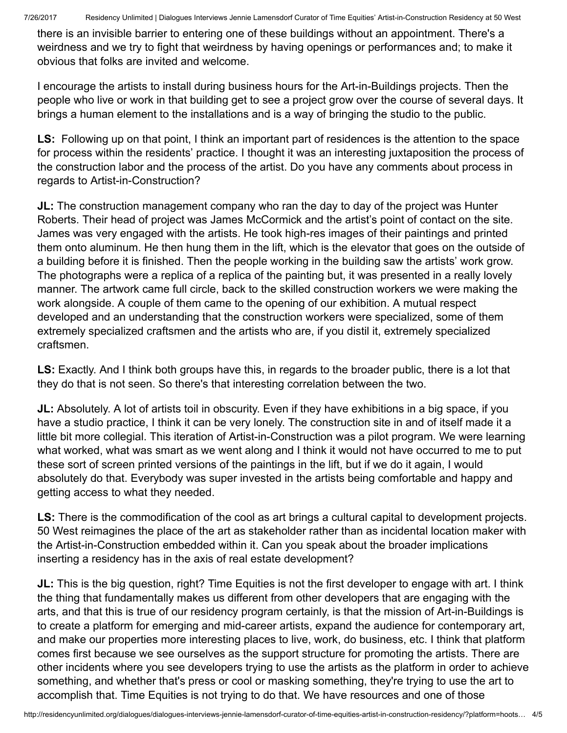there is an invisible barrier to entering one of these buildings without an appointment. There's a weirdness and we try to fight that weirdness by having openings or performances and; to make it obvious that folks are invited and welcome.

I encourage the artists to install during business hours for the Art-in-Buildings projects. Then the people who live or work in that building get to see a project grow over the course of several days. It brings a human element to the installations and is a way of bringing the studio to the public.

LS: Following up on that point, I think an important part of residences is the attention to the space for process within the residents' practice. I thought it was an interesting juxtaposition the process of the construction labor and the process of the artist. Do you have any comments about process in regards to Artist-in-Construction?

**JL:** The construction management company who ran the day to day of the project was Hunter Roberts. Their head of project was James McCormick and the artist's point of contact on the site. James was very engaged with the artists. He took high-res images of their paintings and printed them onto aluminum. He then hung them in the lift, which is the elevator that goes on the outside of a building before it is finished. Then the people working in the building saw the artists' work grow. The photographs were a replica of a replica of the painting but, it was presented in a really lovely manner. The artwork came full circle, back to the skilled construction workers we were making the work alongside. A couple of them came to the opening of our exhibition. A mutual respect developed and an understanding that the construction workers were specialized, some of them extremely specialized craftsmen and the artists who are, if you distil it, extremely specialized craftsmen.

LS: Exactly. And I think both groups have this, in regards to the broader public, there is a lot that they do that is not seen. So there's that interesting correlation between the two.

JL: Absolutely. A lot of artists toil in obscurity. Even if they have exhibitions in a big space, if you have a studio practice, I think it can be very lonely. The construction site in and of itself made it a little bit more collegial. This iteration of Artist-in-Construction was a pilot program. We were learning what worked, what was smart as we went along and I think it would not have occurred to me to put these sort of screen printed versions of the paintings in the lift, but if we do it again, I would absolutely do that. Everybody was super invested in the artists being comfortable and happy and getting access to what they needed.

LS: There is the commodification of the cool as art brings a cultural capital to development projects. 50 West reimagines the place of the art as stakeholder rather than as incidental location maker with the Artist-in-Construction embedded within it. Can you speak about the broader implications inserting a residency has in the axis of real estate development?

**JL:** This is the big question, right? Time Equities is not the first developer to engage with art. I think the thing that fundamentally makes us different from other developers that are engaging with the arts, and that this is true of our residency program certainly, is that the mission of Art-in-Buildings is to create a platform for emerging and mid-career artists, expand the audience for contemporary art, and make our properties more interesting places to live, work, do business, etc. I think that platform comes first because we see ourselves as the support structure for promoting the artists. There are other incidents where you see developers trying to use the artists as the platform in order to achieve something, and whether that's press or cool or masking something, they're trying to use the art to accomplish that. Time Equities is not trying to do that. We have resources and one of those